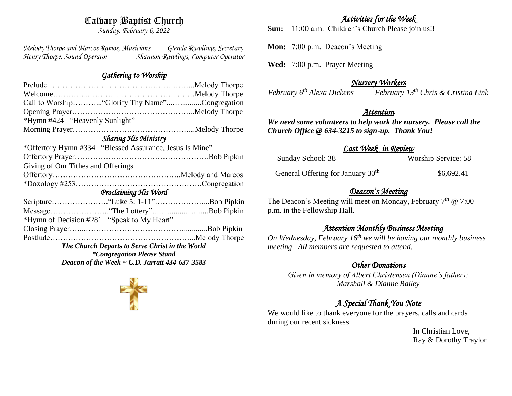# Calvary Baptist Church

*Sunday, February 6, 2022*

*Melody Thorpe and Marcos Ramos, Musicians Glenda Rawlings, Secretary Henry Thorpe, Sound Operator Shannon Rawlings, Computer Operator* 

#### *Gathering to Worship*

| Call to Worship "Glorify Thy Name"Congregation          |  |  |  |
|---------------------------------------------------------|--|--|--|
|                                                         |  |  |  |
|                                                         |  |  |  |
|                                                         |  |  |  |
|                                                         |  |  |  |
| *Offertory Hymn #334 "Blessed Assurance, Jesus Is Mine" |  |  |  |
|                                                         |  |  |  |
|                                                         |  |  |  |
|                                                         |  |  |  |
|                                                         |  |  |  |
| Proclaiming His Word                                    |  |  |  |
|                                                         |  |  |  |
|                                                         |  |  |  |
| *Hymn of Decision #281 "Speak to My Heart"              |  |  |  |
|                                                         |  |  |  |
|                                                         |  |  |  |
| The Church Departs to Serve Christ in the World         |  |  |  |
| <i>*Congregation Please Stand</i>                       |  |  |  |
| Deacon of the Week $\sim$ C.D. Jarratt 434-637-3583     |  |  |  |
|                                                         |  |  |  |

*Activities for the Week* 

**Sun:** 11:00 a.m. Children's Church Please join us!!

**Mon:** 7:00 p.m. Deacon's Meeting

**Wed:** 7:00 p.m. Prayer Meeting

### *Nursery Workers*

*February 6th Alexa Dickens February 13th Chris & Cristina Link* 

#### *Attention*

*We need some volunteers to help work the nursery. Please call the Church Office @ 634-3215 to sign-up. Thank You!*

### *Last Week in Review*

| Sunday School: 38                             | <b>Worship Service: 58</b> |
|-----------------------------------------------|----------------------------|
| General Offering for January 30 <sup>th</sup> | \$6,692.41                 |

# *Deacon's Meeting*

The Deacon's Meeting will meet on Monday, February  $7<sup>th</sup>$  @ 7:00 p.m. in the Fellowship Hall.

## *Attention Monthly Business Meeting*

*On Wednesday, February 16th we will be having our monthly business meeting. All members are requested to attend.* 

### *Other Donations*

*Given in memory of Albert Christensen (Dianne's father): Marshall & Dianne Bailey*

# *A Special Thank You Note*

We would like to thank everyone for the prayers, calls and cards during our recent sickness.

> In Christian Love, Ray & Dorothy Traylor